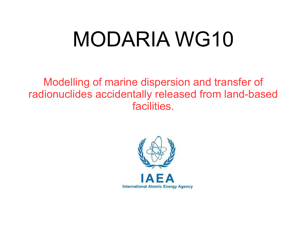# MODARIA WG10

Modelling of marine dispersion and transfer of radionuclides accidentally released from land-based facilities.

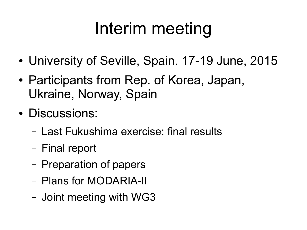# Interim meeting

- University of Seville, Spain. 17-19 June, 2015
- Participants from Rep. of Korea, Japan, Ukraine, Norway, Spain
- Discussions:
	- Last Fukushima exercise: final results
	- Final report
	- Preparation of papers
	- Plans for MODARIA-II
	- Joint meeting with WG3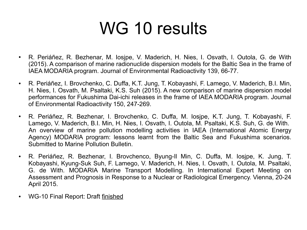### WG 10 results

- R. Periáñez, R. Bezhenar, M. Iosipe, V. Maderich, H. Nies, I. Osvath, I. Outola, G. de With (2015). A comparison of marine radionuclide dispersion models for the Baltic Sea in the frame of IAEA MODARIA program. Journal of Environmental Radioactivity 139, 66-77.
- R. Periáñez, I. Brovchenko, C. Duffa, K.T. Jung, T. Kobayashi, F. Lamego, V. Maderich, B.I. Min, H. Nies, I. Osvath, M. Psaltaki, K.S. Suh (2015). A new comparison of marine dispersion model performances for Fukushima Dai-ichi releases in the frame of IAEA MODARIA program. Journal of Environmental Radioactivity 150, 247-269.
- R. Periáñez, R. Bezhenar, I. Brovchenko, C. Duffa, M. Iosjpe, K.T. Jung, T. Kobayashi, F. Lamego, V. Maderich, B.I. Min, H. Nies, I. Osvath, I. Outola, M. Psaltaki, K.S. Suh, G. de With. An overview of marine pollution modelling activities in IAEA (International Atomic Energy Agency) MODARIA program: lessons learnt from the Baltic Sea and Fukushima scenarios. Submitted to Marine Pollution Bulletin.
- R. Periáñez, R. Bezhenar, I. Brovchenco, Byung-II Min, C. Duffa, M. Iosipe, K. Jung, T. Kobayashi, Kyung-Suk Suh, F. Lamego, V. Maderich, H. Nies, I. Osvath, I. Outola, M. Psaltaki, G. de With. MODARIA Marine Transport Modelling. In International Expert Meeting on Assessment and Prognosis in Response to a Nuclear or Radiological Emergency. Vienna, 20-24 April 2015.
- WG-10 Final Report: Draft finished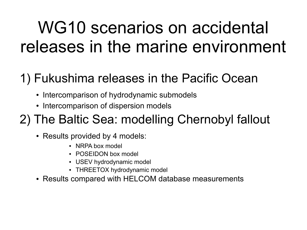## WG10 scenarios on accidental releases in the marine environment

#### 1) Fukushima releases in the Pacific Ocean

- Intercomparison of hydrodynamic submodels
- Intercomparison of dispersion models

#### 2) The Baltic Sea: modelling Chernobyl fallout

- Results provided by 4 models:
	- NRPA box model
	- POSEIDON box model
	- USEV hydrodynamic model
	- THREETOX hydrodynamic model
- Results compared with HELCOM database measurements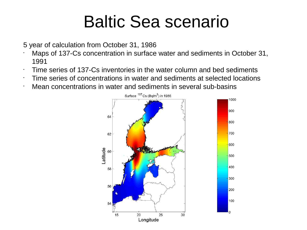#### Baltic Sea scenario

5 year of calculation from October 31, 1986

- Maps of 137-Cs concentration in surface water and sediments in October 31, 1991
- $\cdot$  Time series of 137-Cs inventories in the water column and bed sediments
- Time series of concentrations in water and sediments at selected locations
- Mean concentrations in water and sediments in several sub-basins

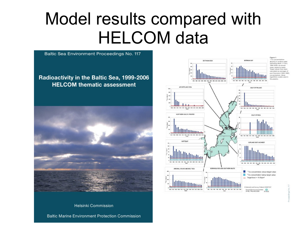#### Model results compared with HELCOM data



Figure 1 **FCs concentrations** Sloim3) in earlisce water language death and fire." 1984-2006, as annual mean values by basin.<br>Target values have been to segment as belaicales 124-Charnotul /1984-1985) concentrations. (Note:<br>logarithmic scales used in the praphel-

**BOTHNING BAY** 

GELF OF FINLAND

**GULF OF BIGA** 

GOTLAND EAST AND WEST

"Cs concentration above target value "Cs concentration below target value Target level = 15 Bq/m<sup>b</sup>

6 National Land Survey, Rinland, 81-MW107  $\frac{1}{1000}$ 

SYNT, FINI AND 2009

**Helsinki Commission** 

**Baltic Marine Environment Protection Commission**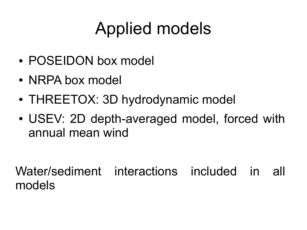# Applied models

- POSEIDON box model
- NRPA box model
- THREETOX: 3D hydrodynamic model
- USEV: 2D depth-averaged model, forced with annual mean wind

Water/sediment interactions included in all models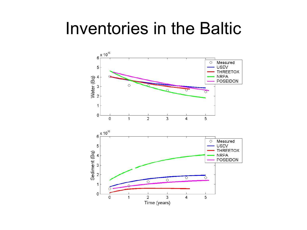#### Inventories in the Baltic

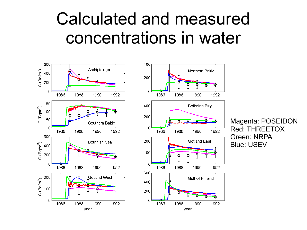#### Calculated and measured concentrations in water





Magenta: POSEIDON Red: THREETOX Green: NRPA Blue: USEV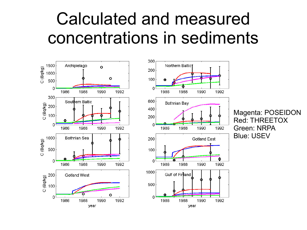#### Calculated and measured concentrations in sediments

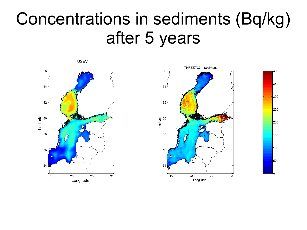#### Concentrations in sediments (Bq/kg) after 5 years



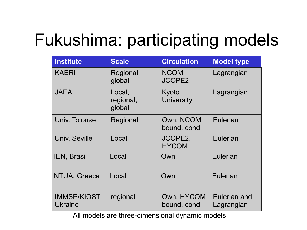### Fukushima: participating models

| <b>Institute</b>                     | <b>Scale</b>                  | <b>Circulation</b>         | <b>Model type</b>          |
|--------------------------------------|-------------------------------|----------------------------|----------------------------|
| <b>KAERI</b>                         | Regional,<br>global           | NCOM,<br><b>JCOPE2</b>     | Lagrangian                 |
| <b>JAEA</b>                          | Local,<br>regional,<br>global | Kyoto<br><b>University</b> | Lagrangian                 |
| Univ. Tolouse                        | Regional                      | Own, NCOM<br>bound. cond.  | <b>Eulerian</b>            |
| <b>Univ. Seville</b>                 | Local                         | JCOPE2,<br><b>HYCOM</b>    | Eulerian                   |
| IEN, Brasil                          | Local                         | Own                        | <b>Eulerian</b>            |
| NTUA, Greece                         | Local                         | Own                        | Eulerian                   |
| <b>IMMSP/KIOST</b><br><b>Ukraine</b> | regional                      | Own, HYCOM<br>bound. cond. | Eulerian and<br>Lagrangian |

All models are three-dimensional dynamic models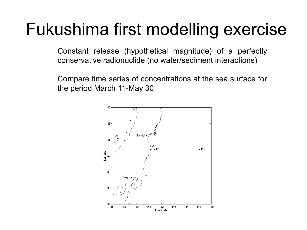#### Fukushima first modelling exercise

Constant release (hypothetical magnitude) of a perfectly conservative radionuclide (no water/sediment interactions)

Compare time series of concentrations at the sea surface for the period March 11-May 30

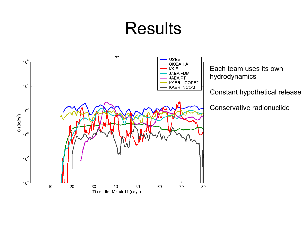#### Results

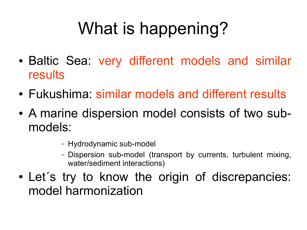# What is happening?

- Baltic Sea: very different models and similar results
- Fukushima: similar models and different results
- A marine dispersion model consists of two submodels:
	- Hydrodynamic sub-model
	- Dispersion sub-model (transport by currents, turbulent mixing, water/sediment interactions)
- Let's try to know the origin of discrepancies: model harmonization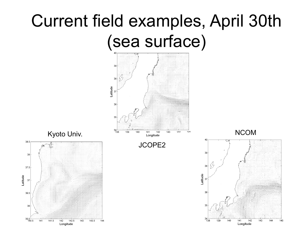# Current field examples, April 30th (sea surface)

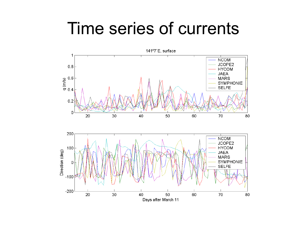#### Time series of currents

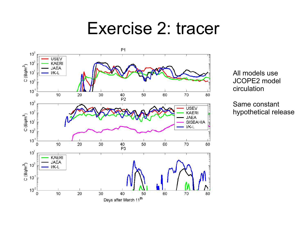#### Exercise 2: tracer



All models use JCOPE2 model circulation

Same constant hypothetical release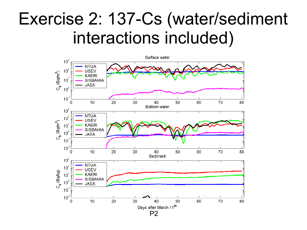#### Exercise 2: 137-Cs (water/sediment interactions included)

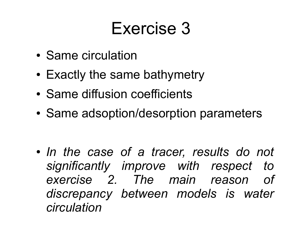### Exercise 3

- Same circulation
- Exactly the same bathymetry
- Same diffusion coefficients
- Same adsoption/desorption parameters

• In the case of a tracer, results do not *significantly improve with respect to exercise 2. The main reason of discrepancy between models is water circulation*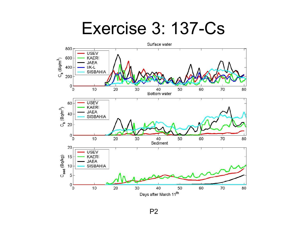#### Exercise 3: 137-Cs

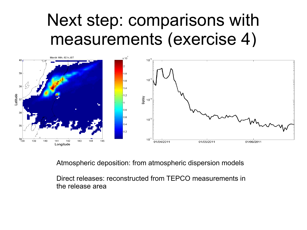#### Next step: comparisons with measurements (exercise 4)



Atmospheric deposition: from atmospheric dispersion models

Direct releases: reconstructed from TEPCO measurements in the release area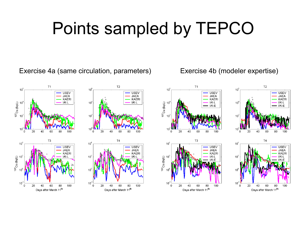## Points sampled by TEPCO

Exercise 4a (same circulation, parameters) Exercise 4b (modeler expertise)

 $10$ 

 $\circ$ 

20

40

60

Days after March 11<sup>th</sup>

80

100











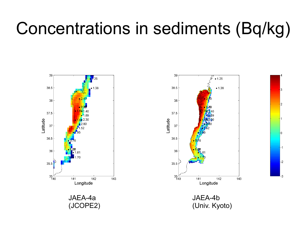### Concentrations in sediments (Bq/kg)



JAEA-4a (JCOPE2)



JAEA-4b (Univ. Kyoto)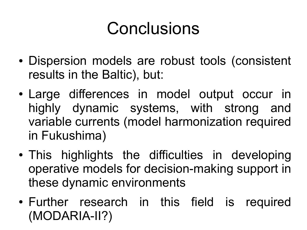# Conclusions

- Dispersion models are robust tools (consistent results in the Baltic), but:
- Large differences in model output occur in highly dynamic systems, with strong and variable currents (model harmonization required in Fukushima)
- This highlights the difficulties in developing operative models for decision-making support in these dynamic environments
- Further research in this field is required (MODARIA-II?)